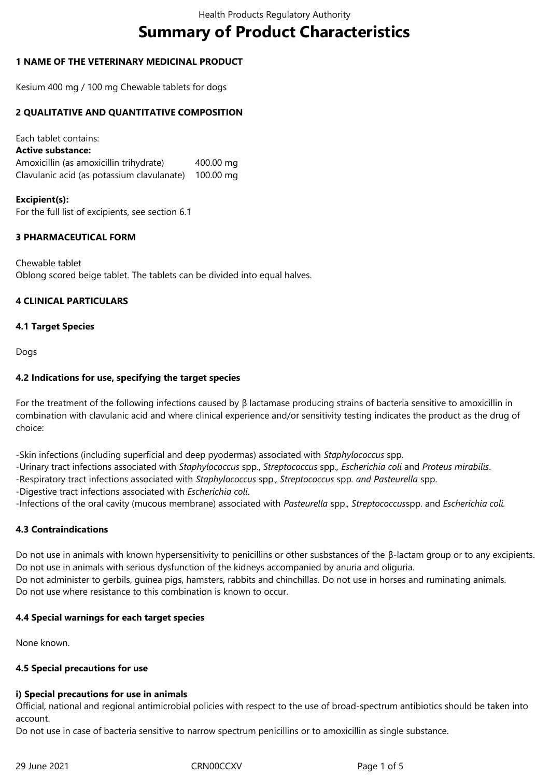# **Summary of Product Characteristics**

### **1 NAME OF THE VETERINARY MEDICINAL PRODUCT**

Kesium 400 mg / 100 mg Chewable tablets for dogs

#### **2 QUALITATIVE AND QUANTITATIVE COMPOSITION**

Each tablet contains: **Active substance:** Amoxicillin (as amoxicillin trihydrate) 400.00 mg Clavulanic acid (as potassium clavulanate) 100.00 mg

#### **Excipient(s):**

For the full list of excipients, see section 6.1

## **3 PHARMACEUTICAL FORM**

Chewable tablet Oblong scored beige tablet. The tablets can be divided into equal halves.

#### **4 CLINICAL PARTICULARS**

#### **4.1 Target Species**

Dogs

#### **4.2 Indications for use, specifying the target species**

For the treatment of the following infections caused by β lactamase producing strains of bacteria sensitive to amoxicillin in combination with clavulanic acid and where clinical experience and/or sensitivity testing indicates the product as the drug of choice:

-Skin infections (including superficial and deep pyodermas) associated with *Staphylococcus* spp.

- -Urinary tract infections associated with *Staphylococcus* spp., *Streptococcus* spp.*, Escherichia coli* and *Proteus mirabilis*.
- -Respiratory tract infections associated with *Staphylococcus* spp*., Streptococcus* spp*. and Pasteurella* spp.
- -Digestive tract infections associated with *Escherichia coli*.

-Infections of the oral cavity (mucous membrane) associated with *Pasteurella* spp.*, Streptococcus*spp. and *Escherichia coli.*

#### **4.3 Contraindications**

Do not use in animals with known hypersensitivity to penicillins or other susbstances of the β-lactam group or to any excipients. Do not use in animals with serious dysfunction of the kidneys accompanied by anuria and oliguria. Do not administer to gerbils, guinea pigs, hamsters, rabbits and chinchillas. Do not use in horses and ruminating animals. Do not use where resistance to this combination is known to occur.

#### **4.4 Special warnings for each target species**

None known.

#### **4.5 Special precautions for use**

#### **i) Special precautions for use in animals**

Official, national and regional antimicrobial policies with respect to the use of broad-spectrum antibiotics should be taken into account.

Do not use in case of bacteria sensitive to narrow spectrum penicillins or to amoxicillin as single substance.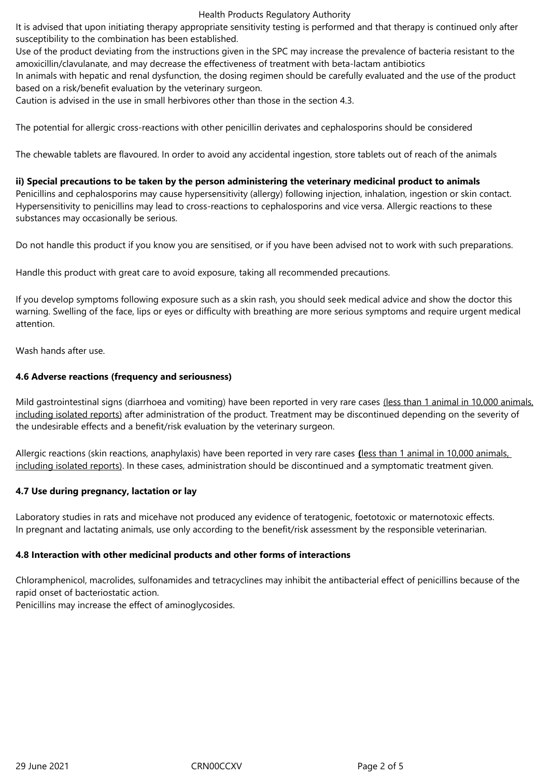#### Health Products Regulatory Authority

It is advised that upon initiating therapy appropriate sensitivity testing is performed and that therapy is continued only after susceptibility to the combination has been established.

Use of the product deviating from the instructions given in the SPC may increase the prevalence of bacteria resistant to the amoxicillin/clavulanate, and may decrease the effectiveness of treatment with beta-lactam antibiotics

In animals with hepatic and renal dysfunction, the dosing regimen should be carefully evaluated and the use of the product based on a risk/benefit evaluation by the veterinary surgeon.

Caution is advised in the use in small herbivores other than those in the section 4.3.

The potential for allergic cross-reactions with other penicillin derivates and cephalosporins should be considered

The chewable tablets are flavoured. In order to avoid any accidental ingestion, store tablets out of reach of the animals

**ii) Special precautions to be taken by the person administering the veterinary medicinal product to animals** Penicillins and cephalosporins may cause hypersensitivity (allergy) following injection, inhalation, ingestion or skin contact. Hypersensitivity to penicillins may lead to cross-reactions to cephalosporins and vice versa. Allergic reactions to these substances may occasionally be serious.

Do not handle this product if you know you are sensitised, or if you have been advised not to work with such preparations.

Handle this product with great care to avoid exposure, taking all recommended precautions.

If you develop symptoms following exposure such as a skin rash, you should seek medical advice and show the doctor this warning. Swelling of the face, lips or eyes or difficulty with breathing are more serious symptoms and require urgent medical attention.

Wash hands after use.

#### **4.6 Adverse reactions (frequency and seriousness)**

Mild gastrointestinal signs (diarrhoea and vomiting) have been reported in very rare cases (less than 1 animal in 10,000 animals, including isolated reports) after administration of the product. Treatment may be discontinued depending on the severity of the undesirable effects and a benefit/risk evaluation by the veterinary surgeon.

Allergic reactions (skin reactions, anaphylaxis) have been reported in very rare cases **(**less than 1 animal in 10,000 animals, including isolated reports). In these cases, administration should be discontinued and a symptomatic treatment given.

#### **4.7 Use during pregnancy, lactation or lay**

Laboratory studies in rats and micehave not produced any evidence of teratogenic, foetotoxic or maternotoxic effects. In pregnant and lactating animals, use only according to the benefit/risk assessment by the responsible veterinarian.

#### **4.8 Interaction with other medicinal products and other forms of interactions**

Chloramphenicol, macrolides, sulfonamides and tetracyclines may inhibit the antibacterial effect of penicillins because of the rapid onset of bacteriostatic action.

Penicillins may increase the effect of aminoglycosides.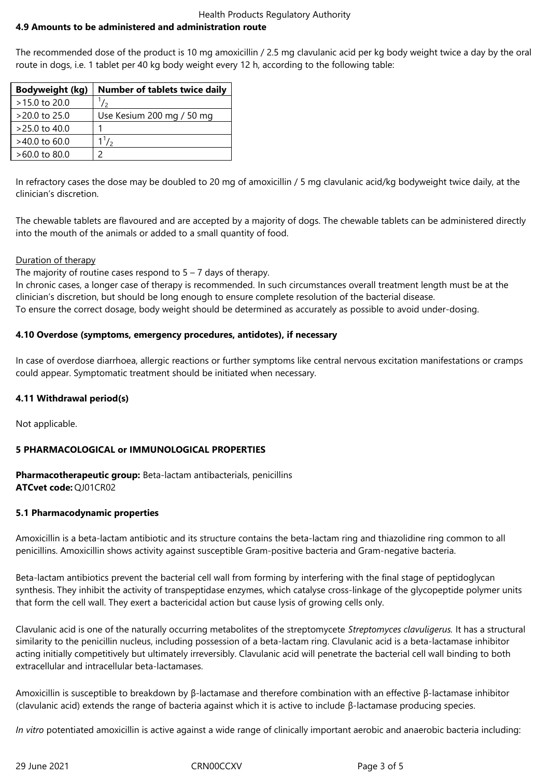#### Health Products Regulatory Authority **4.9 Amounts to be administered and administration route**

The recommended dose of the product is 10 mg amoxicillin / 2.5 mg clavulanic acid per kg body weight twice a day by the oral route in dogs, i.e. 1 tablet per 40 kg body weight every 12 h, according to the following table:

| <b>Bodyweight (kg)</b> | <b>Number of tablets twice daily</b> |
|------------------------|--------------------------------------|
| >15.0 to 20.0          | $\frac{1}{2}$                        |
| $>20.0$ to 25.0        | Use Kesium 200 mg / 50 mg            |
| $>25.0$ to 40.0        |                                      |
| $>40.0$ to 60.0        | $1^{1}/_{2}$                         |
| $>60.0$ to 80.0        |                                      |

In refractory cases the dose may be doubled to 20 mg of amoxicillin / 5 mg clavulanic acid/kg bodyweight twice daily, at the clinician's discretion.

The chewable tablets are flavoured and are accepted by a majority of dogs. The chewable tablets can be administered directly into the mouth of the animals or added to a small quantity of food.

## Duration of therapy

The majority of routine cases respond to  $5 - 7$  days of therapy.

In chronic cases, a longer case of therapy is recommended. In such circumstances overall treatment length must be at the clinician's discretion, but should be long enough to ensure complete resolution of the bacterial disease. To ensure the correct dosage, body weight should be determined as accurately as possible to avoid under-dosing.

## **4.10 Overdose (symptoms, emergency procedures, antidotes), if necessary**

In case of overdose diarrhoea, allergic reactions or further symptoms like central nervous excitation manifestations or cramps could appear. Symptomatic treatment should be initiated when necessary.

## **4.11 Withdrawal period(s)**

Not applicable.

## **5 PHARMACOLOGICAL or IMMUNOLOGICAL PROPERTIES**

**Pharmacotherapeutic group:** Beta-lactam antibacterials, penicillins **ATCvet code:** QJ01CR02

## **5.1 Pharmacodynamic properties**

Amoxicillin is a beta-lactam antibiotic and its structure contains the beta-lactam ring and thiazolidine ring common to all penicillins. Amoxicillin shows activity against susceptible Gram-positive bacteria and Gram-negative bacteria.

Beta-lactam antibiotics prevent the bacterial cell wall from forming by interfering with the final stage of peptidoglycan synthesis. They inhibit the activity of transpeptidase enzymes, which catalyse cross-linkage of the glycopeptide polymer units that form the cell wall. They exert a bactericidal action but cause lysis of growing cells only.

Clavulanic acid is one of the naturally occurring metabolites of the streptomycete *Streptomyces clavuligerus.* It has a structural similarity to the penicillin nucleus, including possession of a beta-lactam ring. Clavulanic acid is a beta-lactamase inhibitor acting initially competitively but ultimately irreversibly. Clavulanic acid will penetrate the bacterial cell wall binding to both extracellular and intracellular beta-lactamases.

Amoxicillin is susceptible to breakdown by β-lactamase and therefore combination with an effective β-lactamase inhibitor (clavulanic acid) extends the range of bacteria against which it is active to include β-lactamase producing species.

*In vitro* potentiated amoxicillin is active against a wide range of clinically important aerobic and anaerobic bacteria including: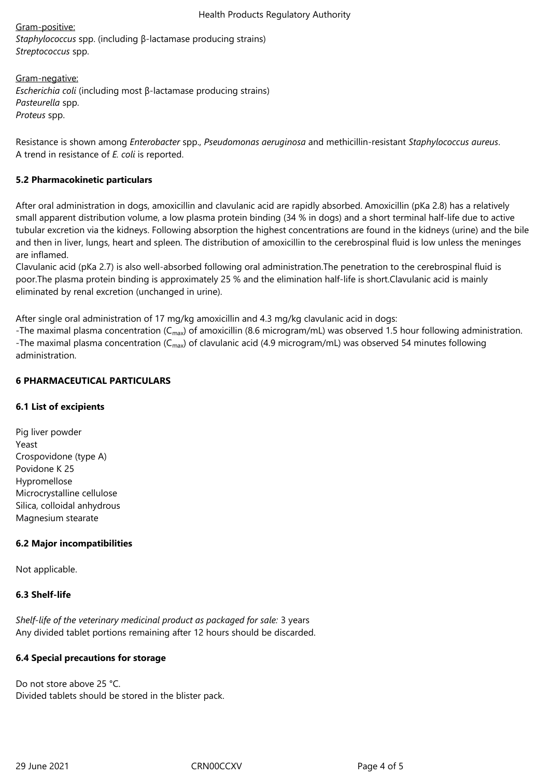Gram-positive: *Staphylococcus* spp. (including β-lactamase producing strains) *Streptococcus* spp.

Gram-negative: *Escherichia coli* (including most β-lactamase producing strains) *Pasteurella* spp. *Proteus* spp.

Resistance is shown among *Enterobacter* spp., *Pseudomonas aeruginosa* and methicillin-resistant *Staphylococcus aureus*. A trend in resistance of *E. coli* is reported.

#### **5.2 Pharmacokinetic particulars**

After oral administration in dogs, amoxicillin and clavulanic acid are rapidly absorbed. Amoxicillin (pKa 2.8) has a relatively small apparent distribution volume, a low plasma protein binding (34 % in dogs) and a short terminal half-life due to active tubular excretion via the kidneys. Following absorption the highest concentrations are found in the kidneys (urine) and the bile and then in liver, lungs, heart and spleen. The distribution of amoxicillin to the cerebrospinal fluid is low unless the meninges are inflamed.

Clavulanic acid (pKa 2.7) is also well-absorbed following oral administration.The penetration to the cerebrospinal fluid is poor.The plasma protein binding is approximately 25 % and the elimination half-life is short.Clavulanic acid is mainly eliminated by renal excretion (unchanged in urine).

After single oral administration of 17 mg/kg amoxicillin and 4.3 mg/kg clavulanic acid in dogs:

-The maximal plasma concentration ( $C_{\text{max}}$ ) of amoxicillin (8.6 microgram/mL) was observed 1.5 hour following administration. -The maximal plasma concentration ( $C_{\text{max}}$ ) of clavulanic acid (4.9 microgram/mL) was observed 54 minutes following administration.

## **6 PHARMACEUTICAL PARTICULARS**

## **6.1 List of excipients**

Pig liver powder Yeast Crospovidone (type A) Povidone K 25 Hypromellose Microcrystalline cellulose Silica, colloidal anhydrous Magnesium stearate

## **6.2 Major incompatibilities**

Not applicable.

## **6.3 Shelf-life**

*Shelf-life of the veterinary medicinal product as packaged for sale:* 3 years Any divided tablet portions remaining after 12 hours should be discarded.

## **6.4 Special precautions for storage**

Do not store above 25 °C. Divided tablets should be stored in the blister pack.